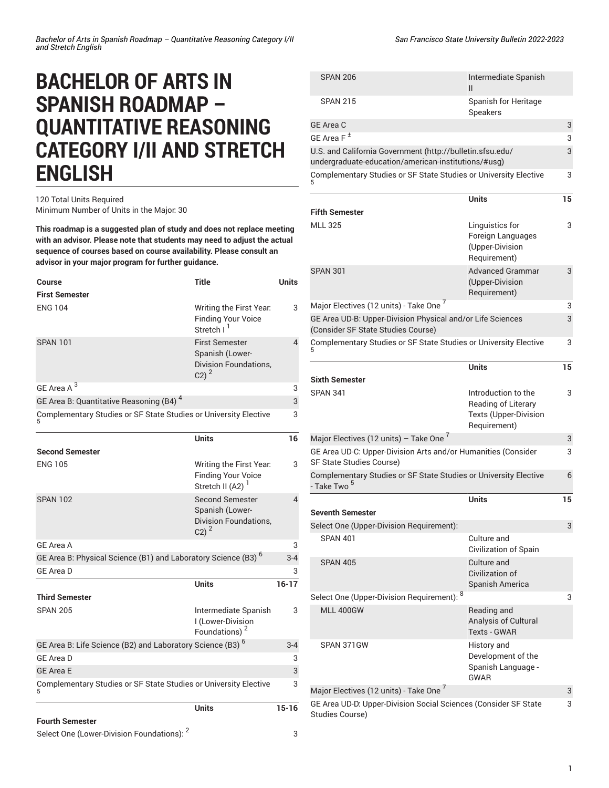## **BACHELOR OF ARTS IN SPANISH ROADMAP – QUANTITATIVE REASONING CATEGORY I/II AND STRETCH ENGLISH**

## 120 Total Units Required Minimum Number of Units in the Major: 30

**This roadmap is a suggested plan of study and does not replace meeting with an advisor. Please note that students may need to adjust the actual sequence of courses based on course availability. Please consult an advisor in your major program for further guidance.**

| Course                                                                    | <b>Title</b>                                                                                     | <b>Units</b>             |
|---------------------------------------------------------------------------|--------------------------------------------------------------------------------------------------|--------------------------|
| <b>First Semester</b>                                                     |                                                                                                  |                          |
| <b>ENG 104</b>                                                            | Writing the First Year.<br><b>Finding Your Voice</b><br>Stretch I <sup>1</sup>                   | 3                        |
| <b>SPAN 101</b>                                                           | <b>First Semester</b><br>Spanish (Lower-<br>Division Foundations,<br>$C2)^2$                     | $\overline{\mathcal{L}}$ |
| GE Area A <sup>3</sup>                                                    |                                                                                                  | 3                        |
| GE Area B: Quantitative Reasoning (B4) <sup>4</sup>                       |                                                                                                  | 3                        |
| Complementary Studies or SF State Studies or University Elective          |                                                                                                  | 3                        |
|                                                                           | <b>Units</b>                                                                                     | 16                       |
| <b>Second Semester</b>                                                    |                                                                                                  |                          |
| <b>ENG 105</b>                                                            | Writing the First Year.<br><b>Finding Your Voice</b><br>Stretch II (A2) <sup>1</sup>             | 3                        |
| <b>SPAN 102</b>                                                           | <b>Second Semester</b><br>Spanish (Lower-<br><b>Division Foundations,</b><br>$C2$ ) <sup>2</sup> | $\overline{4}$           |
| <b>GE Area A</b>                                                          |                                                                                                  | 3                        |
| GE Area B: Physical Science (B1) and Laboratory Science (B3) <sup>6</sup> |                                                                                                  | $3 - 4$                  |
| <b>GE Area D</b>                                                          |                                                                                                  | 3                        |
|                                                                           | Units                                                                                            | $16 - 17$                |
| <b>Third Semester</b>                                                     |                                                                                                  |                          |
| <b>SPAN 205</b>                                                           | Intermediate Spanish<br>I (Lower-Division<br>Foundations) <sup>2</sup>                           | 3                        |
| GE Area B: Life Science (B2) and Laboratory Science (B3) <sup>6</sup>     |                                                                                                  | $3 - 4$                  |
| <b>GE Area D</b>                                                          |                                                                                                  | 3                        |
| <b>GE Area E</b>                                                          |                                                                                                  | 3                        |
| Complementary Studies or SF State Studies or University Elective          |                                                                                                  | 3                        |
|                                                                           | Units                                                                                            | 15-16                    |

| <b>SPAN 206</b>                                                                                                  | Intermediate Spanish<br>Ш               |   |
|------------------------------------------------------------------------------------------------------------------|-----------------------------------------|---|
| <b>SPAN 215</b>                                                                                                  | Spanish for Heritage<br><b>Speakers</b> |   |
| GE Area C                                                                                                        |                                         | 3 |
| GE Area F $^{\pm}$                                                                                               |                                         | 3 |
| U.S. and California Government (http://bulletin.sfsu.edu/<br>undergraduate-education/american-institutions/#usg) |                                         | 3 |
| Complementary Studies or SF State Studies or University Elective<br>5                                            |                                         | 3 |

|                                                                                                  | <b>Units</b>                                                                        | 15 |
|--------------------------------------------------------------------------------------------------|-------------------------------------------------------------------------------------|----|
| <b>Fifth Semester</b>                                                                            |                                                                                     |    |
| <b>MLL 325</b>                                                                                   | Linguistics for<br>Foreign Languages<br>(Upper-Division<br>Requirement)             | 3  |
| <b>SPAN 301</b>                                                                                  | <b>Advanced Grammar</b><br>(Upper-Division<br>Requirement)                          | 3  |
| Major Electives (12 units) - Take One 7                                                          |                                                                                     | 3  |
| GE Area UD-B: Upper-Division Physical and/or Life Sciences<br>(Consider SF State Studies Course) |                                                                                     | 3  |
| Complementary Studies or SF State Studies or University Elective                                 |                                                                                     | 3  |
|                                                                                                  | <b>Units</b>                                                                        | 15 |
| <b>Sixth Semester</b>                                                                            |                                                                                     |    |
| <b>SPAN 341</b>                                                                                  | Introduction to the<br>Reading of Literary<br>Texts (Upper-Division<br>Requirement) | 3  |
| Major Electives (12 units) - Take One <sup>7</sup>                                               |                                                                                     | 3  |
| GE Area UD-C: Upper-Division Arts and/or Humanities (Consider<br>SF State Studies Course)        |                                                                                     | 3  |
| Complementary Studies or SF State Studies or University Elective<br>- Take Two <sup>5</sup>      |                                                                                     | 6  |
| <b>Seventh Semester</b>                                                                          | <b>Units</b>                                                                        | 15 |
| Select One (Upper-Division Requirement):                                                         |                                                                                     | 3  |
| <b>SPAN 401</b>                                                                                  | Culture and<br>Civilization of Spain                                                |    |
| <b>SPAN 405</b>                                                                                  | Culture and<br>Civilization of<br>Spanish America                                   |    |
| Select One (Upper-Division Requirement): 8                                                       |                                                                                     | 3  |
| MI   400GW                                                                                       | Reading and<br>Analysis of Cultural<br><b>Texts - GWAR</b>                          |    |
| SPAN 371GW                                                                                       | History and<br>Development of the<br>Spanish Language -<br>GWAR                     |    |
| Major Electives (12 units) - Take One 7                                                          |                                                                                     | 3  |
| GE Area UD-D: Upper-Division Social Sciences (Consider SF State<br><b>Studies Course)</b>        |                                                                                     | 3  |